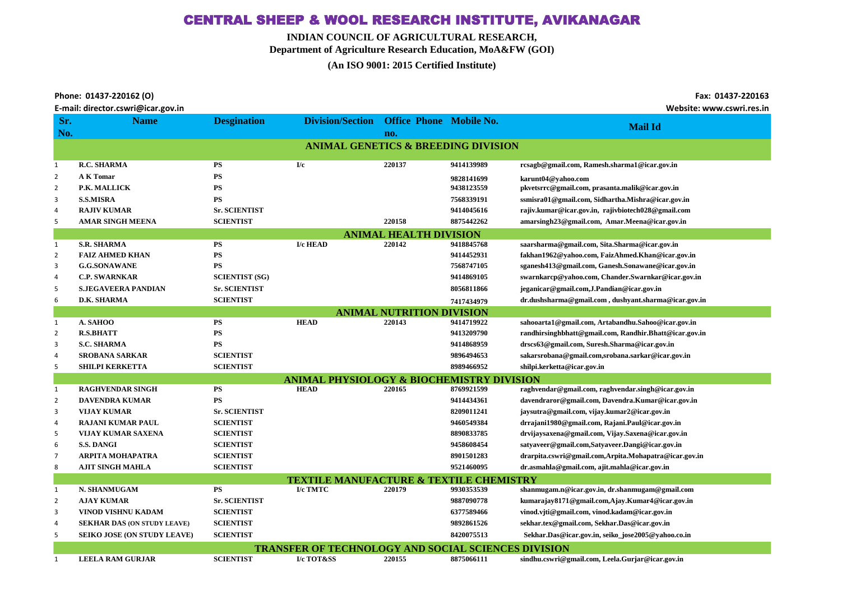## CENTRAL SHEEP & WOOL RESEARCH INSTITUTE, AVIKANAGAR

**INDIAN COUNCIL OF AGRICULTURAL RESEARCH,**

**Department of Agriculture Research Education, MoA&FW (GOI)**

**(An ISO 9001: 2015 Certified Institute)** 

| Phone: 01437-220162 (O)                                                                                                                                                                                                        |
|--------------------------------------------------------------------------------------------------------------------------------------------------------------------------------------------------------------------------------|
| in a constitution of the contract of the constitution of the constitution of the constitution of the constitution of the constitution of the constitution of the constitution of the constitution of the constitution of the c |

|                                                      | E-mail: director.cswri@icar.gov.in<br>Website: www.cswri.res.in |                       |                         |                                  |            |                                                        |  |  |
|------------------------------------------------------|-----------------------------------------------------------------|-----------------------|-------------------------|----------------------------------|------------|--------------------------------------------------------|--|--|
| Sr.                                                  | <b>Name</b>                                                     | <b>Desgination</b>    | <b>Division/Section</b> | <b>Office Phone Mobile No.</b>   |            |                                                        |  |  |
| No.                                                  |                                                                 |                       |                         | no.                              |            | <b>Mail Id</b>                                         |  |  |
| <b>ANIMAL GENETICS &amp; BREEDING DIVISION</b>       |                                                                 |                       |                         |                                  |            |                                                        |  |  |
|                                                      |                                                                 |                       |                         |                                  |            |                                                        |  |  |
| $\mathbf{1}$                                         | <b>R.C. SHARMA</b>                                              | <b>PS</b>             | I/c                     | 220137                           | 9414139989 | rcsagb@gmail.com, Ramesh.sharma1@icar.gov.in           |  |  |
| $\overline{2}$                                       | <b>A K Tomar</b>                                                | PS                    |                         |                                  | 9828141699 | karunt04@yahoo.com                                     |  |  |
| $\overline{2}$                                       | P.K. MALLICK                                                    | <b>PS</b>             |                         |                                  | 9438123559 | pkvetsrrc@gmail.com, prasanta.malik@icar.gov.in        |  |  |
| 3                                                    | <b>S.S.MISRA</b>                                                | <b>PS</b>             |                         |                                  | 7568339191 | ssmisra01@gmail.com, Sidhartha.Mishra@icar.gov.in      |  |  |
| 4                                                    | <b>RAJIV KUMAR</b>                                              | <b>Sr. SCIENTIST</b>  |                         |                                  | 9414045616 | rajiv.kumar@icar.gov.in, rajivbiotech028@gmail.com     |  |  |
| 5                                                    | <b>AMAR SINGH MEENA</b>                                         | <b>SCIENTIST</b>      |                         | 220158                           | 8875442262 | amarsingh23@gmail.com, Amar.Meena@icar.gov.in          |  |  |
|                                                      | <b>ANIMAL HEALTH DIVISION</b>                                   |                       |                         |                                  |            |                                                        |  |  |
| $\mathbf{1}$                                         | <b>S.R. SHARMA</b>                                              | PS                    | I/c HEAD                | 220142                           | 9418845768 | saarsharma@gmail.com, Sita.Sharma@icar.gov.in          |  |  |
| $\overline{2}$                                       | <b>FAIZ AHMED KHAN</b>                                          | ${\bf PS}$            |                         |                                  | 9414452931 | fakhan1962@yahoo.com, FaizAhmed.Khan@icar.gov.in       |  |  |
| 3                                                    | <b>G.G.SONAWANE</b>                                             | <b>PS</b>             |                         |                                  | 7568747105 | sganesh413@gmail.com, Ganesh.Sonawane@icar.gov.in      |  |  |
| 4                                                    | <b>C.P. SWARNKAR</b>                                            | <b>SCIENTIST (SG)</b> |                         |                                  | 9414869105 | swarnkarcp@yahoo.com, Chander.Swarnkar@icar.gov.in     |  |  |
| 5                                                    | <b>S.JEGAVEERA PANDIAN</b>                                      | <b>Sr. SCIENTIST</b>  |                         |                                  | 8056811866 | jeganicar@gmail.com, J. Pandian@icar.gov.in            |  |  |
| 6                                                    | D.K. SHARMA                                                     | <b>SCIENTIST</b>      |                         |                                  | 7417434979 | dr.dushsharma@gmail.com, dushyant.sharma@icar.gov.in   |  |  |
|                                                      |                                                                 |                       |                         | <b>ANIMAL NUTRITION DIVISION</b> |            |                                                        |  |  |
| $\mathbf{1}$                                         | A. SAHOO                                                        | <b>PS</b>             | <b>HEAD</b>             | 220143                           | 9414719922 | sahooarta1@gmail.com, Artabandhu.Sahoo@icar.gov.in     |  |  |
| $\overline{2}$                                       | <b>R.S.BHATT</b>                                                | <b>PS</b>             |                         |                                  | 9413209790 | randhirsinghbhatt@gmail.com, Randhir.Bhatt@icar.gov.in |  |  |
| 3                                                    | <b>S.C. SHARMA</b>                                              | ${\bf PS}$            |                         |                                  | 9414868959 | drscs63@gmail.com, Suresh.Sharma@icar.gov.in           |  |  |
| 4                                                    | <b>SROBANA SARKAR</b>                                           | <b>SCIENTIST</b>      |                         |                                  | 9896494653 | sakarsrobana@gmail.com,srobana.sarkar@icar.gov.in      |  |  |
| 5                                                    | <b>SHILPI KERKETTA</b>                                          | <b>SCIENTIST</b>      |                         |                                  | 8989466952 | shilpi.kerketta@icar.gov.in                            |  |  |
| <b>ANIMAL PHYSIOLOGY &amp; BIOCHEMISTRY DIVISION</b> |                                                                 |                       |                         |                                  |            |                                                        |  |  |
| $\mathbf{1}$                                         | <b>RAGHVENDAR SINGH</b>                                         | <b>PS</b>             | <b>HEAD</b>             | 220165                           | 8769921599 | raghvendar@gmail.com, raghvendar.singh@icar.gov.in     |  |  |
| $\overline{2}$                                       | <b>DAVENDRA KUMAR</b>                                           | <b>PS</b>             |                         |                                  | 9414434361 | davendraror@gmail.com, Davendra.Kumar@icar.gov.in      |  |  |
| 3                                                    | <b>VIJAY KUMAR</b>                                              | <b>Sr. SCIENTIST</b>  |                         |                                  | 8209011241 | jaysutra@gmail.com, vijay.kumar2@icar.gov.in           |  |  |
| 4                                                    | <b>RAJANI KUMAR PAUL</b>                                        | <b>SCIENTIST</b>      |                         |                                  | 9460549384 | drrajani1980@gmail.com, Rajani.Paul@icar.gov.in        |  |  |
| 5                                                    | VIJAY KUMAR SAXENA                                              | <b>SCIENTIST</b>      |                         |                                  | 8890833785 | drvijaysaxena@gmail.com, Vijay.Saxena@icar.gov.in      |  |  |
| 6                                                    | <b>S.S. DANGI</b>                                               | <b>SCIENTIST</b>      |                         |                                  | 9458608454 | satyaveer@gmail.com,Satyaveer.Dangi@icar.gov.in        |  |  |
| 7                                                    | <b>ARPITA MOHAPATRA</b>                                         | <b>SCIENTIST</b>      |                         |                                  | 8901501283 | drarpita.cswri@gmail.com,Arpita.Mohapatra@icar.gov.in  |  |  |
| 8                                                    | <b>AJIT SINGH MAHLA</b>                                         | <b>SCIENTIST</b>      |                         |                                  | 9521460095 | dr.asmahla@gmail.com, ajit.mahla@icar.gov.in           |  |  |
|                                                      | <b>TEXTILE MANUFACTURE &amp; TEXTILE CHEMISTRY</b>              |                       |                         |                                  |            |                                                        |  |  |
| 1                                                    | N. SHANMUGAM                                                    | <b>PS</b>             | I/c TMTC                | 220179                           | 9930353539 | shanmugam.n@icar.gov.in, dr.shanmugam@gmail.com        |  |  |
| $\overline{2}$                                       | <b>AJAY KUMAR</b>                                               | <b>Sr. SCIENTIST</b>  |                         |                                  | 9887090778 | kumarajay8171@gmail.com,Ajay.Kumar4@icar.gov.in        |  |  |
| 3                                                    | VINOD VISHNU KADAM                                              | <b>SCIENTIST</b>      |                         |                                  | 6377589466 | vinod.vjti@gmail.com, vinod.kadam@icar.gov.in          |  |  |
| 4                                                    | <b>SEKHAR DAS (ON STUDY LEAVE)</b>                              | <b>SCIENTIST</b>      |                         |                                  | 9892861526 | sekhar.tex@gmail.com, Sekhar.Das@icar.gov.in           |  |  |
|                                                      | <b>SEIKO JOSE (ON STUDY LEAVE)</b>                              | <b>SCIENTIST</b>      |                         |                                  | 8420075513 | Sekhar.Das@icar.gov.in.seiko iose2005@vahoo.co.in      |  |  |

 **Fax: 01437-220163** 

|                  |                  | <b>TRANSFER OF TECHNOLOGY AND SOCIAL SCIENCES DIVISION</b> |        |            |                                                  |
|------------------|------------------|------------------------------------------------------------|--------|------------|--------------------------------------------------|
| LEELA RAM GURJAR | <b>SCIENTIST</b> | <b>I/c TOT&amp;SS</b>                                      | 220155 | 8875066111 | sindhu.cswri@gmail.com, Leela.Gurjar@icar.gov.in |